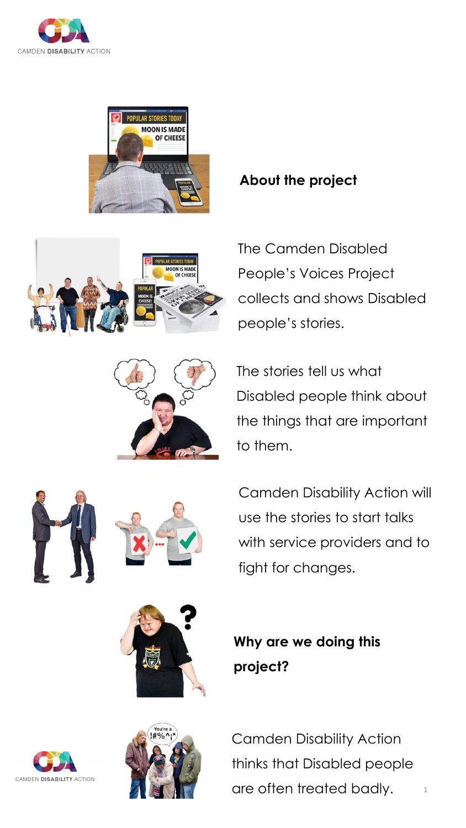







## **About the project**

The Camden Disabled People's Voices Project collects and shows Disabled people's stories.

The stories tell us what Disabled people think about the things that are important to them.





Camden Disability Action will use the stories to start talks with service providers and to fight for changes.



**Why are we doing this project?**



Camden Disability Action thinks that Disabled people are often treated badly.

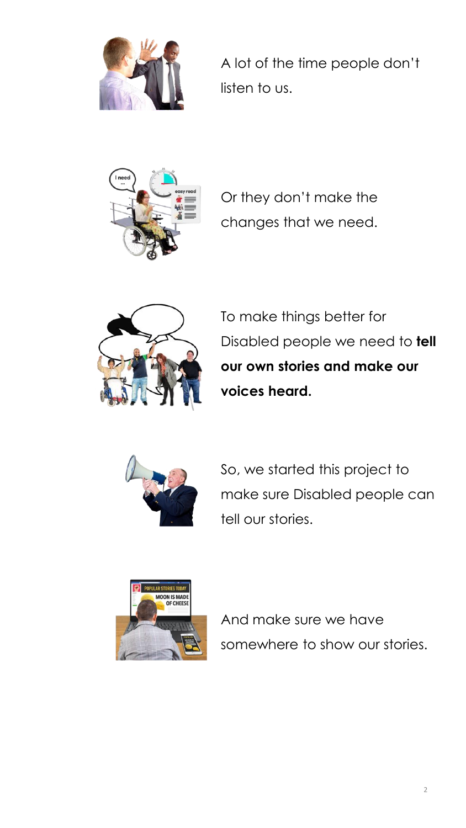

A lot of the time people don't listen to us.



Or they don't make the changes that we need.



To make things better for Disabled people we need to **tell our own stories and make our voices heard.**



So, we started this project to make sure Disabled people can tell our stories.



And make sure we have somewhere to show our stories.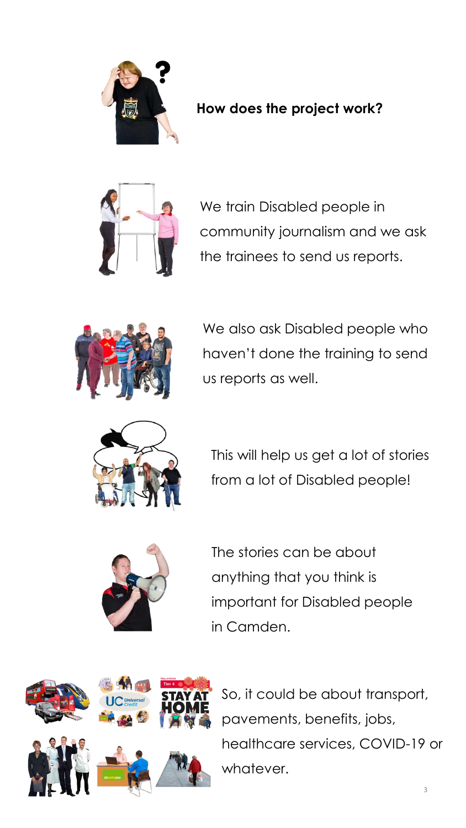

## **How does the project work?**



We train Disabled people in community journalism and we ask the trainees to send us reports.



We also ask Disabled people who haven't done the training to send us reports as well.



This will help us get a lot of stories from a lot of Disabled people!



The stories can be about anything that you think is important for Disabled people in Camden.



So, it could be about transport, pavements, benefits, jobs, healthcare services, COVID-19 or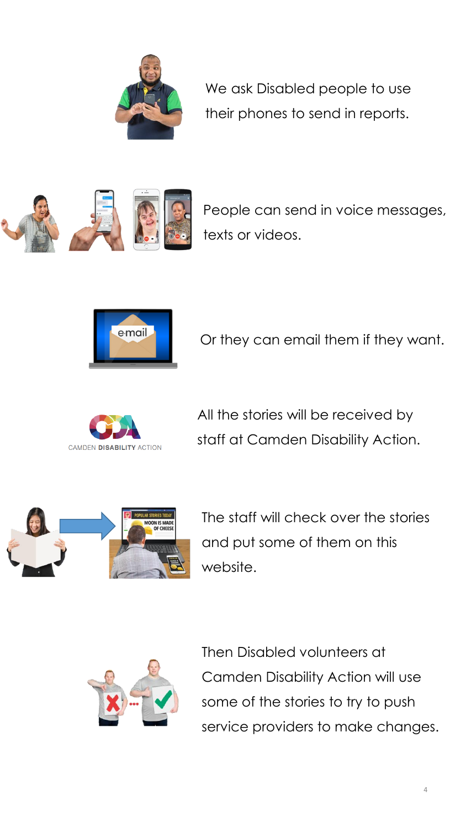

We ask Disabled people to use their phones to send in reports.



People can send in voice messages, texts or videos.



Or they can email them if they want.



All the stories will be received by staff at Camden Disability Action.



The staff will check over the stories and put some of them on this website.



Then Disabled volunteers at Camden Disability Action will use some of the stories to try to push service providers to make changes.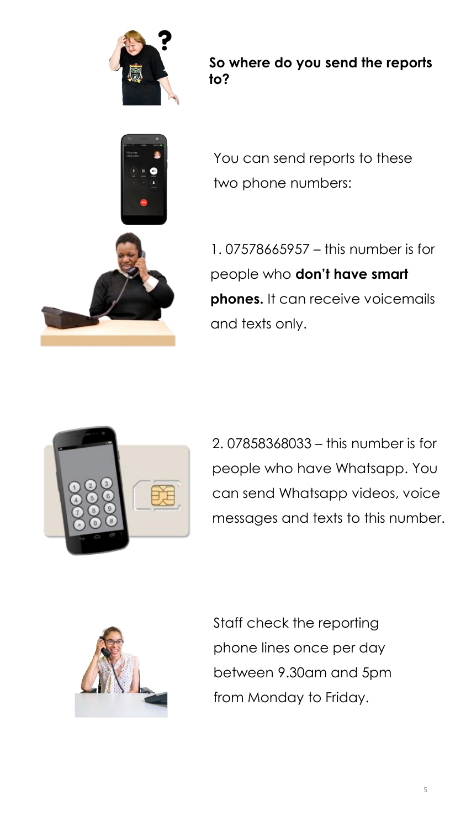

**So where do you send the reports to?**



You can send reports to these two phone numbers:

1. 07578665957 – this number is for people who **don't have smart phones.** It can receive voicemails and texts only.



2. 07858368033 – this number is for people who have Whatsapp. You can send Whatsapp videos, voice messages and texts to this number.



Staff check the reporting phone lines once per day between 9.30am and 5pm from Monday to Friday.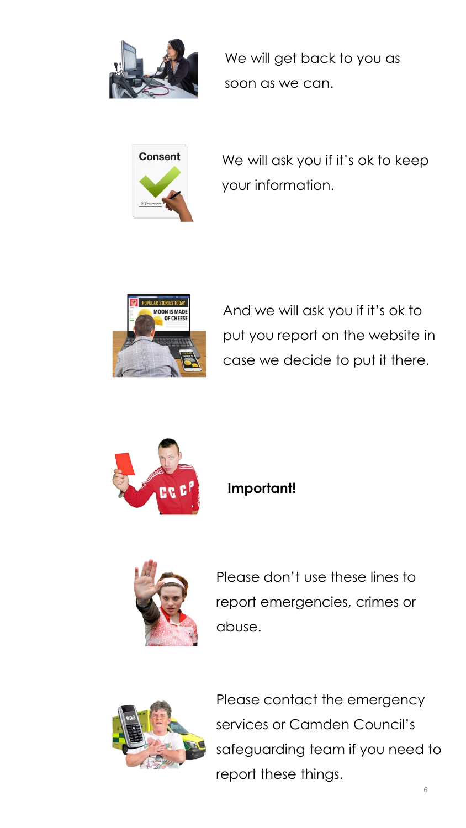

We will get back to you as soon as we can.



We will ask you if it's ok to keep your information.



And we will ask you if it's ok to put you report on the website in case we decide to put it there.



## **Important!**



Please don't use these lines to report emergencies, crimes or abuse.



Please contact the emergency services or Camden Council's safeguarding team if you need to report these things.